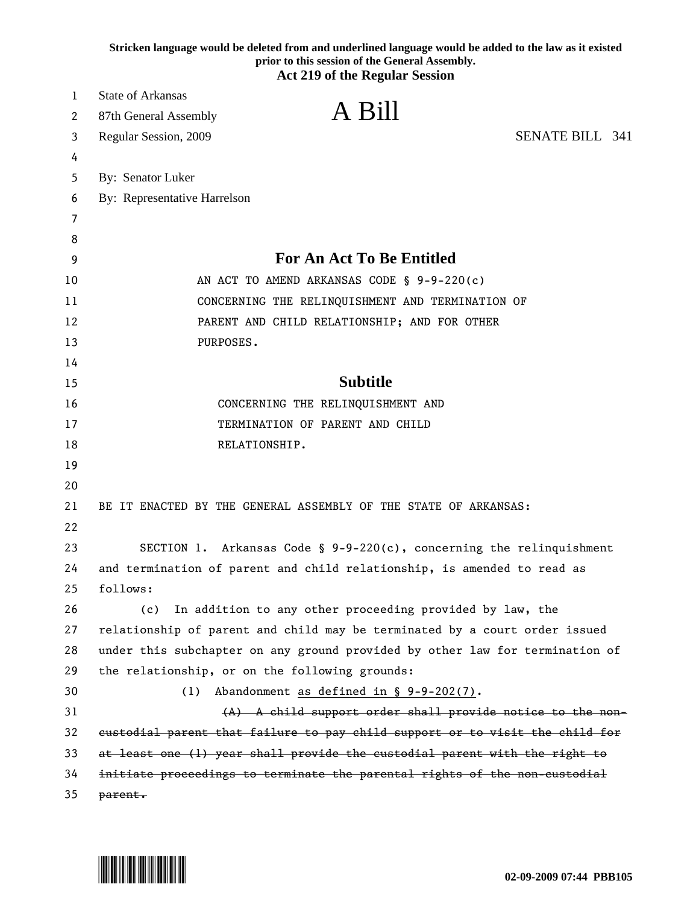|    | Stricken language would be deleted from and underlined language would be added to the law as it existed<br>prior to this session of the General Assembly. |
|----|-----------------------------------------------------------------------------------------------------------------------------------------------------------|
|    | <b>Act 219 of the Regular Session</b>                                                                                                                     |
| 1  | <b>State of Arkansas</b>                                                                                                                                  |
| 2  | A Bill<br>87th General Assembly                                                                                                                           |
| 3  | <b>SENATE BILL 341</b><br>Regular Session, 2009                                                                                                           |
| 4  |                                                                                                                                                           |
| 5  | By: Senator Luker                                                                                                                                         |
| 6  | By: Representative Harrelson                                                                                                                              |
| 7  |                                                                                                                                                           |
| 8  |                                                                                                                                                           |
| 9  | <b>For An Act To Be Entitled</b>                                                                                                                          |
| 10 | AN ACT TO AMEND ARKANSAS CODE § 9-9-220(c)                                                                                                                |
| 11 | CONCERNING THE RELINQUISHMENT AND TERMINATION OF                                                                                                          |
| 12 | PARENT AND CHILD RELATIONSHIP; AND FOR OTHER                                                                                                              |
| 13 | PURPOSES.                                                                                                                                                 |
| 14 |                                                                                                                                                           |
| 15 | <b>Subtitle</b>                                                                                                                                           |
| 16 | CONCERNING THE RELINQUISHMENT AND                                                                                                                         |
| 17 | TERMINATION OF PARENT AND CHILD                                                                                                                           |
| 18 | RELATIONSHIP.                                                                                                                                             |
| 19 |                                                                                                                                                           |
| 20 |                                                                                                                                                           |
| 21 | BE IT ENACTED BY THE GENERAL ASSEMBLY OF THE STATE OF ARKANSAS:                                                                                           |
| 22 |                                                                                                                                                           |
| 23 | SECTION 1. Arkansas Code § $9-9-220(c)$ , concerning the relinquishment                                                                                   |
| 24 | and termination of parent and child relationship, is amended to read as                                                                                   |
| 25 | follows:                                                                                                                                                  |
| 26 | In addition to any other proceeding provided by law, the<br>(c)                                                                                           |
| 27 | relationship of parent and child may be terminated by a court order issued                                                                                |
| 28 | under this subchapter on any ground provided by other law for termination of                                                                              |
| 29 | the relationship, or on the following grounds:                                                                                                            |
| 30 | Abandonment as defined in $\S$ 9-9-202(7).<br>(1)                                                                                                         |
| 31 | (A) A child support order shall provide notice to the non-                                                                                                |
| 32 | eustodial parent that failure to pay child support or to visit the child for                                                                              |
| 33 | at least one (1) year shall provide the custodial parent with the right to                                                                                |
| 34 | initiate proceedings to terminate the parental rights of the non-custodial                                                                                |
| 35 | parent.                                                                                                                                                   |

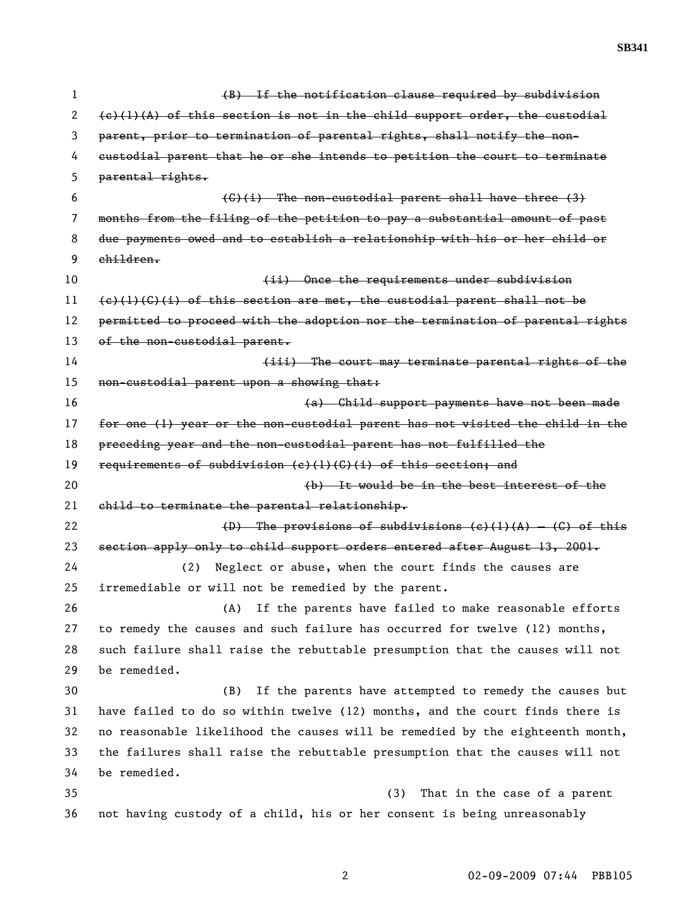**SB341** 

| 1  | (B) If the notification clause required by subdivision                        |
|----|-------------------------------------------------------------------------------|
| 2  | $(e)(1)(A)$ of this section is not in the child support order, the custodial  |
| 3  | parent, prior to termination of parental rights, shall notify the non-        |
| 4  | custodial parent that he or she intends to petition the court to terminate    |
| 5  | parental rights.                                                              |
| 6  | $(G)$ (i) The non-custodial parent shall have three (3)                       |
| 7  | months from the filing of the petition to pay a substantial amount of past    |
| 8  | due payments owed and to establish a relationship with his or her child or    |
| 9  | children.                                                                     |
| 10 | (ii) Once the requirements under subdivision                                  |
| 11 | $(e)$ (1)(C)(i) of this section are met, the custodial parent shall not be    |
| 12 | permitted to proceed with the adoption nor the termination of parental rights |
| 13 | of the non-custodial parent.                                                  |
| 14 | (iii) The court may terminate parental rights of the                          |
| 15 | non-custodial parent upon a showing that:                                     |
| 16 | (a) Child support payments have not been made                                 |
| 17 | for one (1) year or the non-custodial parent has not visited the child in the |
| 18 | preceding year and the non-custodial parent has not fulfilled the             |
| 19 | requirements of subdivision $(c)$ (1) $(G)$ (i) of this section; and          |
| 20 | (b) It would be in the best interest of the                                   |
| 21 | child to terminate the parental relationship.                                 |
| 22 | (D) The provisions of subdivisions (c)(1)(A) - (C) of this                    |
| 23 | section apply only to child support orders entered after August 13, 2001.     |
| 24 | Neglect or abuse, when the court finds the causes are<br>(2)                  |
| 25 | irremediable or will not be remedied by the parent.                           |
| 26 | If the parents have failed to make reasonable efforts<br>(A)                  |
| 27 | to remedy the causes and such failure has occurred for twelve (12) months,    |
| 28 | such failure shall raise the rebuttable presumption that the causes will not  |
| 29 | be remedied.                                                                  |
| 30 | If the parents have attempted to remedy the causes but<br>(B)                 |
| 31 | have failed to do so within twelve (12) months, and the court finds there is  |
| 32 | no reasonable likelihood the causes will be remedied by the eighteenth month, |
| 33 | the failures shall raise the rebuttable presumption that the causes will not  |
| 34 | be remedied.                                                                  |
| 35 | That in the case of a parent<br>(3)                                           |
| 36 | not having custody of a child, his or her consent is being unreasonably       |